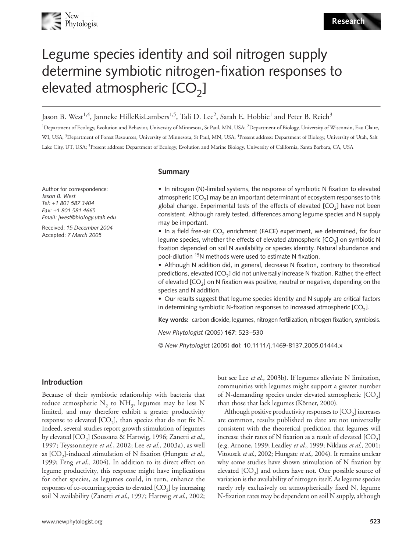# Legume species identity and soil nitrogen supply determine symbiotic nitrogen-fixation responses to elevated atmospheric  $[CO<sub>2</sub>]$

Jason B. West<sup>1,4</sup>, Janneke HilleRisLambers<sup>1,5</sup>, Tali D. Lee<sup>2</sup>, Sarah E. Hobbie<sup>1</sup> and Peter B. Reich<sup>3</sup>

<sup>1</sup>Department of Ecology, Evolution and Behavior, University of Minnesota, St Paul, MN, USA; <sup>2</sup>Department of Biology, University of Wisconsin, Eau Claire, WI, USA; <sup>3</sup>Department of Forest Resources, University of Minnesota, St Paul, MN, USA; <sup>4</sup>Present address: Department of Biology, University of Utah, Salt Lake City, UT, USA; <sup>5</sup> Present address: Department of Ecology, Evolution and Marine Biology, University of California, Santa Barbara, CA, USA

**Summary**

Author for correspondence: *Jason B. West Tel: +1 801 587 3404 Fax: +1 801 581 4665 Email: jwest@biology.utah.edu*

Received: *15 December 2004* Accepted: *7 March 2005*

• In nitrogen (N)-limited systems, the response of symbiotic N fixation to elevated atmospheric  $[CO<sub>2</sub>]$  may be an important determinant of ecosystem responses to this global change. Experimental tests of the effects of elevated  $[CO<sub>2</sub>]$  have not been consistent. Although rarely tested, differences among legume species and N supply may be important.

• In a field free-air  $CO<sub>2</sub>$  enrichment (FACE) experiment, we determined, for four legume species, whether the effects of elevated atmospheric  $[CO<sub>2</sub>]$  on symbiotic N fixation depended on soil N availability or species identity. Natural abundance and pool-dilution 15N methods were used to estimate N fixation.

• Although N addition did, in general, decrease N fixation, contrary to theoretical predictions, elevated  $[CO<sub>2</sub>]$  did not universally increase N fixation. Rather, the effect of elevated  $[CO<sub>2</sub>]$  on N fixation was positive, neutral or negative, depending on the species and N addition.

• Our results suggest that legume species identity and N supply are critical factors in determining symbiotic N-fixation responses to increased atmospheric  $[CO<sub>2</sub>]$ .

**Key words:** carbon dioxide, legumes, nitrogen fertilization, nitrogen fixation, symbiosis.

*New Phytologist* (2005) **167**: 523–530

© *New Phytologist* (2005) **doi**: 10.1111/j.1469-8137.2005.01444.x

#### **Introduction**

Because of their symbiotic relationship with bacteria that reduce atmospheric  $N_2$  to  $NH_3$ , legumes may be less N limited, and may therefore exhibit a greater productivity response to elevated  $[CO_2]$ , than species that do not fix N. Indeed, several studies report growth stimulation of legumes by elevated [CO<sub>2</sub>] (Soussana & Hartwig, 1996; Zanetti *et al.*, 1997; Teyssonneyre *et al*., 2002; Lee *et al*., 2003a), as well as [CO<sub>2</sub>]-induced stimulation of N fixation (Hungate *et al.*, 1999; Feng *et al*., 2004). In addition to its direct effect on legume productivity, this response might have implications for other species, as legumes could, in turn, enhance the responses of co-occurring species to elevated  $[CO<sub>2</sub>]$  by increasing soil N availability (Zanetti *et al*., 1997; Hartwig *et al*., 2002; but see Lee *et al*., 2003b). If legumes alleviate N limitation, communities with legumes might support a greater number of N-demanding species under elevated atmospheric  $[CO<sub>2</sub>]$ than those that lack legumes (Körner, 2000).

Although positive productivity responses to  $[CO<sub>2</sub>]$  increases are common, results published to date are not universally consistent with the theoretical prediction that legumes will increase their rates of N fixation as a result of elevated  $[CO<sub>2</sub>]$ (e.g. Arnone, 1999; Leadley *et al*., 1999; Niklaus *et al*., 2001; Vitousek *et al*., 2002; Hungate *et al*., 2004). It remains unclear why some studies have shown stimulation of N fixation by elevated  $[CO<sub>2</sub>]$  and others have not. One possible source of variation is the availability of nitrogen itself. As legume species rarely rely exclusively on atmospherically fixed N, legume N-fixation rates may be dependent on soil N supply, although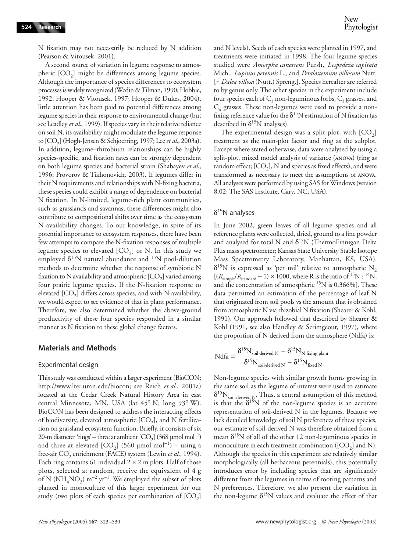N fixation may not necessarily be reduced by N addition (Pearson & Vitousek, 2001).

A second source of variation in legume response to atmospheric  $[CO<sub>2</sub>]$  might be differences among legume species. Although the importance of species differences to ecosystem processes is widely recognized (Wedin & Tilman, 1990; Hobbie, 1992; Hooper & Vitousek, 1997; Hooper & Dukes, 2004), little attention has been paid to potential differences among legume species in their response to environmental change (but see Leadley *et al*., 1999). If species vary in their relative reliance on soil N, its availability might modulate the legume response to [CO2] (Høgh-Jensen & Schjoerring, 1997; Lee *et al*., 2003a). In addition, legume–rhizobium relationships can be highly species-specific, and fixation rates can be strongly dependent on both legume species and bacterial strain (Shabayev *et al*., 1996; Provorov & Tikhonovich, 2003). If legumes differ in their N requirements and relationships with N-fixing bacteria, these species could exhibit a range of dependence on bacterial N fixation. In N-limited, legume-rich plant communities, such as grasslands and savannas, these differences might also contribute to compositional shifts over time as the ecosystem N availability changes. To our knowledge, in spite of its potential importance to ecosystem responses, there have been few attempts to compare the N-fixation responses of multiple legume species to elevated  $[CO<sub>2</sub>]$  or N. In this study we employed  $\delta^{15}N$  natural abundance and  $^{15}N$  pool-dilution methods to determine whether the response of symbiotic N fixation to N availability and atmospheric  $[CO<sub>2</sub>]$  varied among four prairie legume species. If the N-fixation response to elevated  $[CO<sub>2</sub>]$  differs across species, and with N availability, we would expect to see evidence of that in plant performance. Therefore, we also determined whether the above-ground productivity of these four species responded in a similar manner as N fixation to these global change factors.

#### **Materials and Methods**

#### Experimental design

This study was conducted within a larger experiment (BioCON; [http://www.lter.umn.edu/biocon;](http://www.lter.umn.edu/biocon) see Reich *et al*., 2001a) located at the Cedar Creek Natural History Area in east central Minnesota, MN, USA (lat 45° N; long 93° W). BioCON has been designed to address the interacting effects of biodiversity, elevated atmospheric  $[CO_2]$ , and N fertilization on grassland ecosystem function. Briefly, it consists of six 20-m diameter 'rings' – three at ambient  $[CO_2]$  (368 µmol mol<sup>-1</sup>) and three at elevated [CO<sub>2</sub>] (560 µmol mol<sup>-1</sup>) – using a free-air CO<sub>2</sub> enrichment (FACE) system (Lewin et al., 1994). Each ring contains 61 individual  $2 \times 2$  m plots. Half of those plots, selected at random, receive the equivalent of 4 g of N ( $NH_4NO_3$ ) m<sup>-2</sup> yr<sup>-1</sup>. We employed the subset of plots planted in monoculture of this larger experiment for our study (two plots of each species per combination of  $[CO<sub>2</sub>]$ 

and N levels). Seeds of each species were planted in 1997, and treatments were initiated in 1998. The four legume species studied were *Amorpha canescens* Pursh, *Lespedeza capitata* Mich., *Lupinus perennis* L., and *Petalostemum villosum* Nutt. [= *Dalea villosa* (Nutt.) Spreng.]. Species hereafter are referred to by genus only. The other species in the experiment include four species each of  $C_3$  non-leguminous forbs,  $C_3$  grasses, and  $C_4$  grasses. These non-legumes were used to provide a nonfixing reference value for the  $\delta^{15}N$  estimation of N fixation (as described in  $\delta^{15}$ N analyses).

The experimental design was a split-plot, with  $[CO<sub>2</sub>]$ treatment as the main-plot factor and ring as the subplot. Except where stated otherwise, data were analysed by using a split-plot, mixed model analysis of variance (ANOVA) (ring as random effect;  $[CO_2]$ , N and species as fixed effects), and were transformed as necessary to meet the assumptions of ANOVA. All analyses were performed by using SAS for Windows (version 8.02; The SAS Institute, Cary, NC, USA).

#### $\delta^{15}$ N analyses

In June 2002, green leaves of all legume species and all reference plants were collected, dried, ground to a fine powder and analysed for total N and  $\delta^{15}N$  (ThermoFinnigan Delta Plus mass spectrometer; Kansas State University Stable Isotope Mass Spectrometry Laboratory, Manhattan, KS, USA).  $\delta^{15}$ N is expressed as 'per mil' relative to atmospheric N<sub>2</sub>  $[(R_{\text{sample}}/R_{\text{standard}}-1) \times 1000, \text{ where R is the ratio of }^{15}N : 14N,$ and the concentration of atmospheric <sup>15</sup>N is 0.366%]. These data permitted an estimation of the percentage of leaf N that originated from soil pools vs the amount that is obtained from atmospheric N via rhizobial N fixation (Shearer & Kohl, 1991). Our approach followed that described by Shearer & Kohl (1991, see also Handley & Scrimgeour, 1997), where the proportion of N derived from the atmosphere (Ndfa) is:

$$
Ndfa = \frac{\delta^{15}N_{\text{soil-derived N}} - \delta^{15}N_{N\text{-fixing plant}}}{\delta^{15}N_{\text{soil-derived N}} - \delta^{15}N_{\text{fixed N}}}
$$

Non-legume species with similar growth forms growing in the same soil as the legume of interest were used to estimate  $\delta^{15}N_{\rm soil-derived\ N}.$  Thus, a central assumption of this method is that the  $\delta^{15}N$  of the non-legume species is an accurate representation of soil-derived N in the legumes. Because we lack detailed knowledge of soil N preferences of these species, our estimate of soil-derived N was therefore obtained from a mean  $\delta^{15}N$  of all of the other 12 non-leguminous species in monoculture in each treatment combination ([ $CO<sub>2</sub>$ ] and N). Although the species in this experiment are relatively similar morphologically (all herbaceous perennials), this potentially introduces error by including species that are significantly different from the legumes in terms of rooting patterns and N preferences. Therefore, we also present the variation in the non-legume  $\delta^{15}N$  values and evaluate the effect of that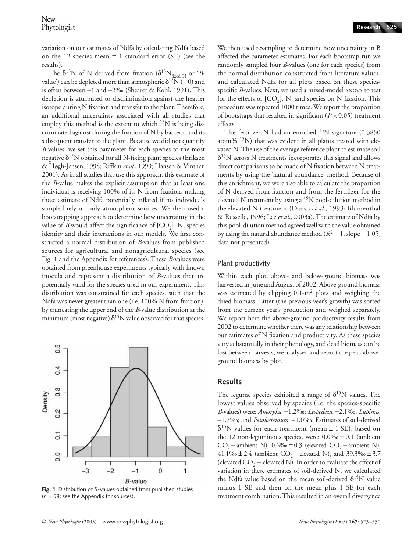The  $\delta^{15}N$  of N derived from fixation ( $\delta^{15}N_{\text{fixed }N}$  or '*B*value') can be depleted more than atmospheric  $\delta^{15}N$  (= 0) and is often between −1 and −2‰ (Shearer & Kohl, 1991). This depletion is attributed to discrimination against the heavier isotope during N fixation and transfer to the plant. Therefore, an additional uncertainty associated with all studies that employ this method is the extent to which  $15N$  is being discriminated against during the fixation of N by bacteria and its subsequent transfer to the plant. Because we did not quantify *B*-values, we set this parameter for each species to the most negative  $\delta^{15}N$  obtained for all N-fixing plant species (Eriksen & Høgh-Jensen, 1998; Riffkin *et al*., 1999; Hansen & Vinther, 2001). As in all studies that use this approach, this estimate of the *B*-value makes the explicit assumption that at least one individual is receiving 100% of its N from fixation, making these estimate of Ndfa potentially inflated if no individuals sampled rely on only atmospheric sources. We then used a bootstrapping approach to determine how uncertainty in the value of *B* would affect the significance of  $[CO_2]$ , N, species identity and their interactions in our models. We first constructed a normal distribution of *B*-values from published sources for agricultural and nonagricultural species (see Fig. 1 and the Appendix for references). These *B*-values were obtained from greenhouse experiments typically with known inocula and represent a distribution of *B*-values that are potentially valid for the species used in our experiment. This distribution was constrained for each species, such that the Ndfa was never greater than one (i.e. 100% N from fixation), by truncating the upper end of the *B*-value distribution at the minimum (most negative)  $\delta^{15}N$  value observed for that species.



**Fig. 1** Distribution of *B*-values obtained from published studies (*n* = 58; see the Appendix for sources).

We then used resampling to determine how uncertainty in B affected the parameter estimates. For each bootstrap run we randomly sampled four *B*-values (one for each species) from the normal distribution constructed from literature values, and calculated Ndfa for all plots based on these speciesspecific *B*-values. Next, we used a mixed-model ANOVA to test for the effects of  $[CO_2]$ , N, and species on N fixation. This procedure was repeated 1000 times. We report the proportion of bootstraps that resulted in significant (*P <* 0.05) treatment effects.

The fertilizer N had an enriched  $^{15}N$  signature (0.3850) atom%  $15N$ ) that was evident in all plants treated with elevated N. The use of the average reference plant to estimate soil  $\delta^{15}$ N across N treatments incorporates this signal and allows direct comparisons to be made of N fixation between N treatments by using the 'natural abundance' method. Because of this enrichment, we were also able to calculate the proportion of N derived from fixation and from the fertilizer for the elevated N treatment by using a 15N pool-dilution method in the elevated N treatment (Danso *et al*., 1993; Blumenthal & Russelle, 1996; Lee *et al*., 2003a). The estimate of Ndfa by this pool-dilution method agreed well with the value obtained by using the natural abundance method  $(R^2 = 1, \text{slope} = 1.05,$ data not presented).

#### Plant productivity

Within each plot, above- and below-ground biomass was harvested in June and August of 2002. Above-ground biomass was estimated by clipping  $0.1-m^2$  plots and weighing the dried biomass. Litter (the previous year's growth) was sorted from the current year's production and weighed separately. We report here the above-ground productivity results from 2002 to determine whether there was any relationship between our estimates of N fixation and productivity. As these species vary substantially in their phenology, and dead biomass can be lost between harvests, we analysed and report the peak aboveground biomass by plot.

#### **Results**

The legume species exhibited a range of  $\delta^{15}N$  values. The lowest values observed by species (i.e. the species-specific *B*-values) were: *Amorpha*, −1.2‰; *Lespedeza*, −2.1‰; *Lupinus*, −1.7‰; and *Petalostemum*, −1.0‰. Estimates of soil-derived  $\delta^{15}$ N values for each treatment (mean  $\pm$  1 SE), based on the 12 non-leguminous species, were:  $0.0\% \pm 0.1$  (ambient CO<sub>2</sub> – ambient N), 0.6‰ ± 0.3 (elevated CO<sub>2</sub> – ambient N), 41.1‰ ± 2.4 (ambient  $CO_2$  – elevated N), and 39.3‰ ± 3.7 (elevated  $CO<sub>2</sub>$  – elevated N). In order to evaluate the effect of variation in these estimates of soil-derived N, we calculated the Ndfa value based on the mean soil-derived  $\delta^{15}N$  value minus 1 SE and then on the mean plus 1 SE for each treatment combination. This resulted in an overall divergence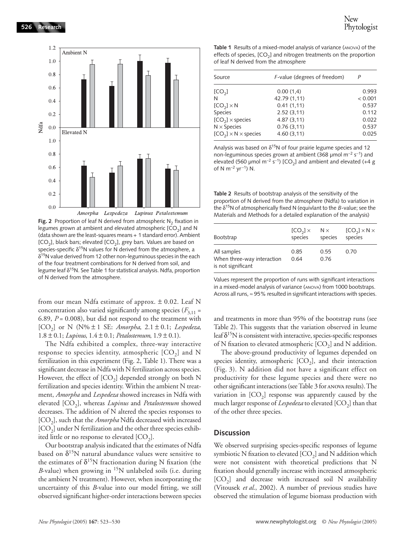

**Fig. 2** Proportion of leaf N derived from atmospheric N<sub>2</sub> fixation in legumes grown at ambient and elevated atmospheric  $[CO<sub>2</sub>]$  and N (data shown are the least-squares means + 1 standard error). Ambient  $[CO<sub>2</sub>]$ , black bars; elevated  $[CO<sub>2</sub>]$ , grey bars. Values are based on species-specific  $\delta^{15}N$  values for N derived from the atmosphere, a δ15N value derived from 12 other non-leguminous species in the each of the four treatment combinations for N derived from soil, and legume leaf δ15N. See Table 1 for statistical analysis. Ndfa, proportion of N derived from the atmosphere.

from our mean Ndfa estimate of approx.  $\pm$  0.02. Leaf N concentration also varied significantly among species  $(F_{3,11} =$ 6.89, *P* = 0.008), but did not respond to the treatment with [CO2] or N (N% ± 1 SE: *Amorpha*, 2.1 ± 0.1; *Lespedeza*, 1.8 ± 0.1; *Lupinus*, 1.4 ± 0.1; *Petalostemum*, 1.9 ± 0.1).

The Ndfa exhibited a complex, three-way interactive response to species identity, atmospheric  $[CO<sub>2</sub>]$  and N fertilization in this experiment (Fig. 2, Table 1). There was a significant decrease in Ndfa with N fertilization across species. However, the effect of  $[CO_2]$  depended strongly on both N fertilization and species identity. Within the ambient N treatment, *Amorpha* and *Lespedeza* showed increases in Ndfa with elevated [CO<sub>2</sub>], whereas *Lupinus* and *Petalostemum* showed decreases. The addition of N altered the species responses to [CO<sub>2</sub>], such that the *Amorpha* Ndfa decreased with increased  $[CO<sub>2</sub>]$  under N fertilization and the other three species exhibited little or no response to elevated  $[CO<sub>2</sub>]$ .

Our bootstrap analysis indicated that the estimates of Ndfa based on  $\delta^{15}N$  natural abundance values were sensitive to the estimates of  $\delta^{15}N$  fractionation during N fixation (the *B*-value) when growing in <sup>15</sup>N unlabeled soils (i.e. during the ambient N treatment). However, when incorporating the uncertainty of this *B*-value into our model fitting, we still observed significant higher-order interactions between species

Table 1 Results of a mixed-model analysis of variance (ANOVA) of the effects of species,  $[CO<sub>2</sub>]$  and nitrogen treatments on the proportion of leaf N derived from the atmosphere

| Source                          | F-value (degrees of freedom) | P       |
|---------------------------------|------------------------------|---------|
| [CO <sub>2</sub> ]              | 0.00(1,4)                    | 0.993   |
| N                               | 42.79 (1,11)                 | < 0.001 |
| $[CO_{2}] \times N$             | 0.41(1,11)                   | 0.537   |
| Species                         | 2.52(3.11)                   | 0.112   |
| $[CO2] \times species$          | 4.87(3.11)                   | 0.022   |
| $N \times$ Species              | 0.76(3,11)                   | 0.537   |
| $[CO2] \times N \times$ species | 4.60(3,11)                   | 0.025   |
|                                 |                              |         |

Analysis was based on  $\delta^{15}$ N of four prairie legume species and 12 non-leguminous species grown at ambient (368 µmol m<sup>−</sup>2 s<sup>−</sup>1) and elevated (560 µmol m<sup>-2</sup> s<sup>-1</sup>) [CO<sub>2</sub>] and ambient and elevated (+4 g of N m<sup>-2</sup> yr<sup>-1</sup>) N.

**Table 2** Results of bootstrap analysis of the sensitivity of the proportion of N derived from the atmosphere (Ndfa) to variation in the δ15N of atmospherically fixed N (equivlant to the *B*-value; see the Materials and Methods for a detailed explanation of the analysis)

| Bootstrap                                                       | $[CO2] \times$ | $N \times$   | $[CO2] \times N \times$ |
|-----------------------------------------------------------------|----------------|--------------|-------------------------|
|                                                                 | species        | species      | species                 |
| All samples<br>When three-way interaction<br>is not significant | 0.85<br>0.64   | 0.55<br>0.76 | 0.70                    |

Values represent the proportion of runs with significant interactions in a mixed-model analysis of variance (ANOVA) from 1000 bootstraps. Across all runs,  $\approx$  95% resulted in significant interactions with species.

and treatments in more than 95% of the bootstrap runs (see Table 2). This suggests that the variation observed in leume leaf  $\delta^{15}N$  is consistent with interactive, species-specific responses of N fixation to elevated atmospheric  $[CO<sub>2</sub>]$  and N addition.

The above-ground productivity of legumes depended on species identity, atmospheric  $[CO<sub>2</sub>]$ , and their interaction (Fig. 3). N addition did not have a significant effect on productivity for these legume species and there were no other significant interactions (see Table 3 for ANOVA results). The variation in  $[CO<sub>2</sub>]$  response was apparently caused by the much larger response of *Lespedeza* to elevated [CO<sub>2</sub>] than that of the other three species.

#### **Discussion**

We observed surprising species-specific responses of legume symbiotic N fixation to elevated  $[CO<sub>2</sub>]$  and N addition which were not consistent with theoretical predictions that N fixation should generally increase with increased atmospheric  $[CO<sub>2</sub>]$  and decrease with increased soil N availability (Vitousek *et al*., 2002). A number of previous studies have observed the stimulation of legume biomass production with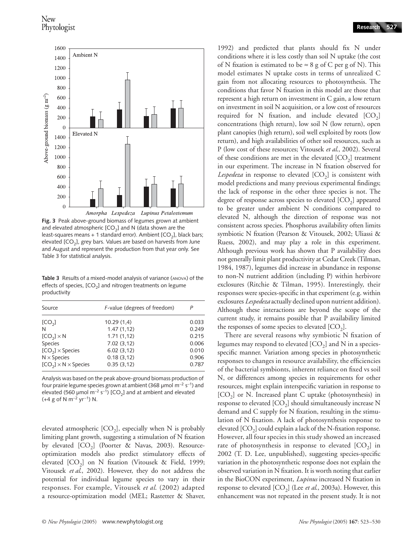

**Fig. 3** Peak above-ground biomass of legumes grown at ambient and elevated atmospheric  $[CO<sub>2</sub>]$  and N (data shown are the least-squares means + 1 standard error). Ambient  $[CO_2]$ , black bars; elevated [CO<sub>2</sub>], grey bars. Values are based on harvests from June and August and represent the production from that year only. See Table 3 for statistical analysis.

**Table 3** Results of a mixed-model analysis of variance (ANOVA) of the effects of species,  $[CO<sub>2</sub>]$  and nitrogen treatments on legume productivity

| Source                          | F-value (degrees of freedom) |       |  |
|---------------------------------|------------------------------|-------|--|
| [CO <sub>2</sub> ]              | 10.29(1,4)                   | 0.033 |  |
| N                               | 1.47(1.12)                   | 0.249 |  |
| $[CO2] \times N$                | 1.71(1.12)                   | 0.215 |  |
| Species                         | 7.02(3.12)                   | 0.006 |  |
| $[CO2] \times Species$          | 6.02(3.12)                   | 0.010 |  |
| $N \times$ Species              | 0.18(3,12)                   | 0.906 |  |
| $[CO2] \times N \times$ Species | 0.35(3.12)                   | 0.787 |  |

Analysis was based on the peak above-ground biomass production of four prairie legume species grown at ambient (368 µmol  $m^{-2}$  s<sup>-1</sup>) and elevated (560 μmol m<sup>-2</sup> s<sup>-1</sup>) [CO<sub>2</sub>] and at ambient and elevated (+4 g of N m<sup>-2</sup> yr<sup>-1</sup>) N.

elevated atmospheric  $[CO_2]$ , especially when N is probably limiting plant growth, suggesting a stimulation of N fixation by elevated  $[CO_2]$  (Poorter & Navas, 2003). Resourceoptimization models also predict stimulatory effects of elevated  $[CO_2]$  on N fixation (Vitousek & Field, 1999; Vitousek *et al*., 2002). However, they do not address the potential for individual legume species to vary in their responses. For example, Vitousek *et al*. (2002) adapted a resource-optimization model (MEL; Rastetter & Shaver, **Research 527**

1992) and predicted that plants should fix N under conditions where it is less costly than soil N uptake (the cost of N fixation is estimated to be  $\approx 8$  g of C per g of N). This model estimates N uptake costs in terms of unrealized C gain from not allocating resources to photosynthesis. The conditions that favor N fixation in this model are those that represent a high return on investment in C gain, a low return on investment in soil N acquisition, or a low cost of resources required for N fixation, and include elevated  $[CO<sub>2</sub>]$ concentrations (high return), low soil N (low return), open plant canopies (high return), soil well exploited by roots (low return), and high availabilities of other soil resources, such as P (low cost of these resources; Vitousek *et al*., 2002). Several of these conditions are met in the elevated  $[CO<sub>2</sub>]$  treatment in our experiment. The increase in N fixation observed for Lespedeza in response to elevated  $[CO<sub>2</sub>]$  is consistent with model predictions and many previous experimental findings; the lack of response in the other three species is not. The degree of response across species to elevated  $[CO<sub>2</sub>]$  appeared to be greater under ambient N conditions compared to elevated N, although the direction of response was not consistent across species. Phosphorus availability often limits symbiotic N fixation (Pearson & Vitousek, 2002; Uliassi & Ruess, 2002), and may play a role in this experiment. Although previous work has shown that P availability does not generally limit plant productivity at Cedar Creek (Tilman, 1984, 1987), legumes did increase in abundance in response to non-N nutrient addition (including P) within herbivore exclosures (Ritchie & Tilman, 1995). Interestingly, their responses were species-specific in that experiment (e.g. within exclosures *Lespedeza* actually declined upon nutrient addition). Although these interactions are beyond the scope of the current study, it remains possible that P availability limited the responses of some species to elevated  $[CO<sub>3</sub>]$ .

There are several reasons why symbiotic N fixation of legumes may respond to elevated  $[CO<sub>2</sub>]$  and N in a speciesspecific manner. Variation among species in photosynthetic responses to changes in resource availability, the efficiencies of the bacterial symbionts, inherent reliance on fixed vs soil N, or differences among species in requirements for other resources, might explain interspecific variation in response to  $[CO<sub>2</sub>]$  or N. Increased plant C uptake (photosynthesis) in response to elevated  $[CO_2]$  should simultaneously increase N demand and C supply for N fixation, resulting in the stimulation of N fixation. A lack of photosynthesis response to elevated  $[CO<sub>2</sub>]$  could explain a lack of the N-fixation response. However, all four species in this study showed an increased rate of photosynthesis in response to elevated  $[CO<sub>2</sub>]$  in 2002 (T. D. Lee, unpublished), suggesting species-specific variation in the photosynthetic response does not explain the observed variation in N fixation. It is worth noting that earlier in the BioCON experiment, *Lupinus* increased N fixation in response to elevated [CO<sub>2</sub>] (Lee *et al.*, 2003a). However, this enhancement was not repeated in the present study. It is not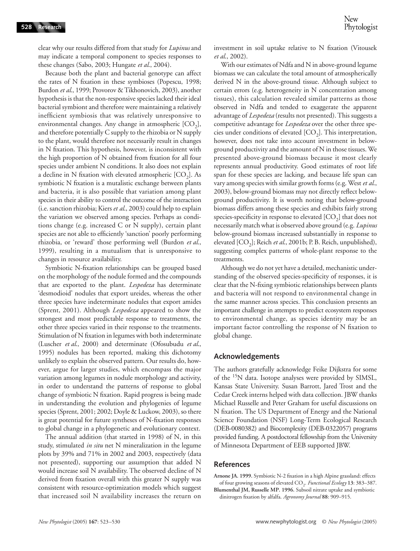clear why our results differed from that study for *Lupinus* and may indicate a temporal component to species responses to these changes (Sabo, 2003; Hungate *et al*., 2004).

Because both the plant and bacterial genotype can affect the rates of N fixation in these symbioses (Popescu, 1998; Burdon *et al*., 1999; Provorov & Tikhonovich, 2003), another hypothesis is that the non-responsive species lacked their ideal bacterial symbiont and therefore were maintaining a relatively inefficient symbiosis that was relatively unresponsive to environmental changes. Any change in atmospheric  $[CO<sub>2</sub>]$ , and therefore potentially C supply to the rhizobia or N supply to the plant, would therefore not necessarily result in changes in N fixation. This hypothesis, however, is inconsistent with the high proportion of N obtained from fixation for all four species under ambient N conditions. It also does not explain a decline in N fixation with elevated atmospheric  $[CO<sub>2</sub>]$ . As symbiotic N fixation is a mutalistic exchange between plants and bacteria, it is also possible that variation among plant species in their ability to control the outcome of the interaction (i.e. sanction rhizobia; Kiers *et al*., 2003) could help to explain the variation we observed among species. Perhaps as conditions change (e.g. increased C or N supply), certain plant species are not able to efficiently 'sanction' poorly performing rhizobia, or 'reward' those performing well (Burdon *et al*., 1999), resulting in a mutualism that is unresponsive to changes in resource availability.

Symbiotic N-fixation relationships can be grouped based on the morphology of the nodule formed and the compounds that are exported to the plant. *Lespedeza* has determinate 'desmodioid' nodules that export ureides, whereas the other three species have indeterminate nodules that export amides (Sprent, 2001). Although *Lespedeza* appeared to show the strongest and most predictable response to treatments, the other three species varied in their response to the treatments. Stimulation of N fixation in legumes with both indeterminate (Luscher *et al*., 2000) and determinate (Ofosubudu *et al*., 1995) nodules has been reported, making this dichotomy unlikely to explain the observed pattern. Our results do, however, argue for larger studies, which encompass the major variation among legumes in nodule morphology and activity, in order to understand the patterns of response to global change of symbiotic N fixation. Rapid progress is being made in understanding the evolution and phylogenies of legume species (Sprent, 2001; 2002; Doyle & Luckow, 2003), so there is great potential for future syntheses of N-fixation responses to global change in a phylogenetic and evolutionary context.

The annual addition (that started in 1998) of N, in this study, stimulated *in situ* net N mineralization in the legume plots by 39% and 71% in 2002 and 2003, respectively (data not presented), supporting our assumption that added N would increase soil N availability. The observed decline of N derived from fixation overall with this greater N supply was consistent with resource-optimization models which suggest that increased soil N availability increases the return on investment in soil uptake relative to N fixation (Vitousek *et al*., 2002).

With our estimates of Ndfa and N in above-ground legume biomass we can calculate the total amount of atmospherically derived N in the above-ground tissue. Although subject to certain errors (e.g. heterogeneity in N concentration among tissues), this calculation revealed similar patterns as those observed in Ndfa and tended to exaggerate the apparent advantage of *Lespedeza* (results not presented). This suggests a competitive advantage for *Lespedeza* over the other three species under conditions of elevated  $[CO<sub>2</sub>]$ . This interpretation, however, does not take into account investment in belowground productivity and the amount of N in those tissues. We presented above-ground biomass because it most clearly represents annual productivity. Good estimates of root life span for these species are lacking, and because life span can vary among species with similar growth forms (e.g. West *et al*., 2003), below-ground biomass may not directly reflect belowground productivity. It is worth noting that below-ground biomass differs among these species and exhibits fairly strong species-specificity in response to elevated  $[CO<sub>2</sub>]$  that does not necessarily match what is observed above ground (e.g. *Lupinus* below-ground biomass increased substantially in response to elevated [CO<sub>2</sub>]; Reich et al., 2001b; P. B. Reich, unpublished), suggesting complex patterns of whole-plant response to the treatments.

Although we do not yet have a detailed, mechanistic understanding of the observed species-specificity of responses, it is clear that the N-fixing symbiotic relationships between plants and bacteria will not respond to environmental change in the same manner across species. This conclusion presents an important challenge in attempts to predict ecosystem responses to environmental change, as species identity may be an important factor controlling the response of N fixation to global change.

#### **Acknowledgements**

The authors gratefully acknowledge Feike Dijkstra for some of the 15N data. Isotope analyses were provided by SIMSL, Kansas State University. Susan Barrott, Jared Trost and the Cedar Creek interns helped with data collection. JBW thanks Michael Russelle and Peter Graham for useful discussions on N fixation. The US Department of Energy and the National Science Foundation (NSF) Long-Term Ecological Research (DEB-0080382) and Biocomplexity (DEB-0322057) programs provided funding. A postdoctoral fellowship from the University of Minnesota Department of EEB supported JBW.

#### **References**

**Arnone JA. 1999.** Symbiotic N-2 fixation in a high Alpine grassland: effects of four growing seasons of elevated CO2. *Functional Ecology* **13**: 383–387.

**Blumenthal JM, Russelle MP. 1996.** Subsoil nitrate uptake and symbiotic dinitrogen fixation by alfalfa. *Agronomy Journal* **88**: 909–915.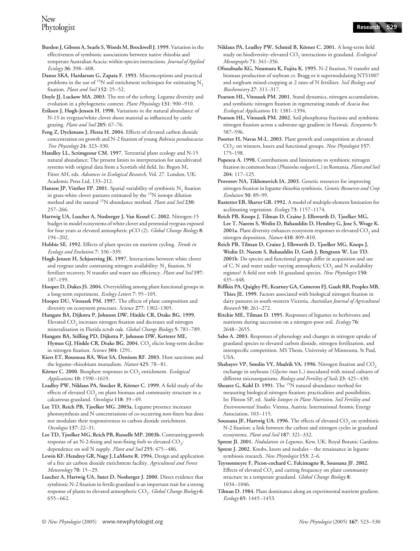- **Burdon J, Gibson A, Searle S, Woods M, Brockwell J. 1999.** Variation in the effectiveness of symbiotic associations between native rhizobia and temperate Australian Acacia: within-species interactions. *Journal of Applied Ecology* **36**: 398–408.
- **Danso SKA, Hardarson G, Zapata F. 1993.** Misconceptions and practical problems in the use of <sup>15</sup>N soil enrichment techniques for estimating N<sub>2</sub> fixation. *Plant and Soil* **152**: 25–52.
- **Doyle JJ, Luckow MA. 2003.** The rest of the iceberg. Legume diversity and evolution in a phylogenetic context. *Plant Physiology* **131**: 900–910.
- **Eriksen J, Høgh-Jensen H. 1998.** Variations in the natural abundance of N-15 in ryegrass/white clover shoot material as influenced by cattle grazing. *Plant and Soil* **205**: 67–76.
- Feng Z, Dyckmans J, Flessa H. 2004. Effects of elevated carbon dioxide concentration on growth and N-2 fixation of young *Robinia pseudoacacia*. *Tree Physiology* **24**: 323–330.
- **Handley LL, Scrimgeour CM. 1997.** Terrestrial plant ecology and N-15 natural abundance: The present limits to interpretation for uncultivated systems with original data from a Scottish old field. In: Begon M**,**  Fitter AH, eds. *Advances in Ecological Research*, Vol. 27. London, UK: Academic Press Ltd, 133–212.
- Hansen JP, Vinther FP. 2001. Spatial variability of symbiotic N<sub>2</sub> fixation in grass-white clover pastures estimated by the 15N isotope dilution method and the natural 15N abundance method. *Plant and Soil* **230**: 257–266.
- **Hartwig UA, Luscher A, Nosberger J, Van Kessel C. 2002.** Nitrogen-15 budget in model ecosystems of white clover and perennial ryegrass exposed for four years at elevated atmospheric pCO (2). *Global Change Biology* **8**: 194–202.
- **Hobbie SE. 1992.** Effects of plant species on nutrient cycling. *Trends in Ecology and Evolution* **7**: 336–339.
- **Høgh-Jensen H, Schjoerring JK. 1997.** Interactions between white clover and ryegrass under contrasting nitrogen availability:  $N<sub>2</sub>$  fixation, N fertilizer recovery, N transfer and water use efficiency. *Plant and Soil* **197**: 187–199.
- **Hooper D, Dukes JS. 2004.** Overyielding among plant functional groups in a long-term experiment. *Ecology Letters* **7**: 95–105.
- **Hooper DU, Vitousek PM. 1997.** The effects of plant composition and diversity on ecosystem processes. *Science* **277**: 1302–1305.
- **Hungate BA, Dijkstra P, Johnson DW, Hinkle CR, Drake BG. 1999.**  Elevated  $CO<sub>2</sub>$  increases nitrogen fixation and decreases soil nitrogen mineralization in Florida scrub oak. *Global Change Biology* **5**: 781–789.
- **Hungate BA, Stilling PD, Dijkstra P, Johnson DW, Ketterer ME,**  Hymus GJ, Hinkle CR, Drake BG. 2004. CO<sub>2</sub> elicits long-term decline in nitrogen fixation. *Science* **304**: 1291.
- **Kiers ET, Rousseau RA, West SA, Denison RF. 2003.** Host sanctions and the legume–rhizobium mutualism. *Nature* **425**: 78–81.
- Körner C. 2000. Biosphere responses to CO<sub>2</sub> enrichment. *Ecological Applications* **10**: 1590–1619.
- **Leadley PW, Niklaus PA, Stocker R, Körner C. 1999.** A field study of the effects of elevated CO<sub>2</sub> on plant biomass and community structure in a calcareous grassland. *Oecologia* **118**: 39–49.
- **Lee TD, Reich PB, Tjoelker MG. 2003a.** Legume presence increases photosynthesis and N concentrations of co-occurring non-fixers but does not modulate their responsiveness to carbon dioxide enrichment. *Oecologia* **137**: 22–31.
- **Lee TD, Tjoelker MG, Reich PB, Russelle MP. 2003b.** Contrasting growth response of an N-2-fixing and non-fixing forb to elevated  $CO_2$ : dependence on soil N supply. *Plant and Soil* **255**: 475–486.
- Lewin KF, Hendrey GR, Nagy J, LaMorte R. 1994. Design and application of a free air carbon dioxide enrichment facility. *Agricultural and Forest Meteorology* **70**: 15–29.
- **Luscher A, Hartwig UA, Suter D, Nosberger J. 2000.** Direct evidence that symbiotic N-2 fixation in fertile grassland is an important trait for a strong response of plants to elevated atmospheric CO<sub>2</sub>. *Global Change Biology* 6: 655–662.
- **Niklaus PA, Leadley PW, Schmid B, Körner C. 2001.** A long-term field study on biodiversity–elevated CO<sub>2</sub> interactions in grassland. *Ecological Monographs* **71**: 341–356.
- **Ofosubudu KG, Noumura K, Fujita K. 1995.** N-2 fixation, N transfer and biomass production of soybean cv. Bragg or it supernodulating NTS1007 and sorghum mixed-cropping at 2 rates of N fertilizer. *Soil Biology and Biochemistry* **27**: 311–317.
- **Pearson HL, Vitousek PM. 2001.** Stand dynamics, nitrogen accumulation, and symbiotic nitrogen fixation in regenerating stands of *Acacia koa*. *Ecological Applications* **11**: 1381–1394.
- **Pearson HL, Vitousek PM. 2002.** Soil phosphorus fractions and symbiotic nitrogen fixation across a substrate-age gradient in Hawaii. *Ecosystems* **5**: 587–596.
- Poorter H, Navas M-L. 2003. Plant growth and competition at elevated CO2: on winners, losers and functional groups. *New Phytologist* **157**: 175–198.
- **Popescu A. 1998.** Contributions and limitations to symbiotic nitrogen fixation in common bean (*Phaseolus vulgaris* L.) in Romania. *Plant and Soil* **204**: 117–125.
- Provorov NA, Tikhonovich IA. 2003. Genetic resources for improving nitrogen fixation in legume-rhizobia symbiosis. *Genetic Resources and Crop Evolution* **50**: 89–99.
- **Rastetter EB, Shaver GR. 1992.** A model of multiple-element limitation for acclimating vegetation. *Ecology* **73**: 1157–1174.
- **Reich PB, Knops J, Tilman D, Craine J, Ellsworth D, Tjoelker MG, Lee T, Naeem S, Wedin D, Bahauddin D, Hendrey G, Jose S, Wrage K.**  2001a. Plant diversity enhances ecosystem responses to elevated CO<sub>2</sub> and nitrogen deposition. *Nature* **410**: 809–810.
- **Reich PB, Tilman D, Craine J, Ellsworth D, Tjoelker MG, Knops J, Wedin D, Naeem S, Bahauddin D, Goth J, Bengtson W, Lee TD. 2001b.** Do species and functional groups differ in acquisition and use of C, N and water under varying atmospheric  $CO<sub>2</sub>$  and N availability regimes? A field test with 16 grassland species. *New Phytologist* **150**: 435–448.
- **Riffkin PA, Quigley PE, Kearney GA, Cameron FJ, Gault RR, Peoples MB, Thies JE. 1999.** Factors associated with biological nitrogen fixation in dairy pastures in south-western Victoria. *Australian Journal of Agricultural Research* **50**: 261–272.
- **Ritchie ME, Tilman D. 1995.** Responses of legumes to herbivores and nutrients during succession on a nitrogen-poor soil. *Ecology* **76**: 2648–2655.
- **Sabo A. 2003.** Responses of phenology and changes in nitrogen uptake of grassland species to elevated carbon dioxide, nitrogen fertilization, and interspecific competition. MS Thesis, University of Minnesota, St Paul, USA.
- **Shabayev VP, Smolin VY, Mudrik VA. 1996.** Nitrogen fixation and CO<sub>2</sub> exchange in soybeans (*Glycine max* L.) inoculated with mixed cultures of different microorganisms. *Biology and Fertility of Soils* **23**: 425–430.
- **Shearer G, Kohl D. 1991.** The <sup>15</sup>N natural abundance method for measuring biological nitrogen fixation: practicalities and possibilities. In: Flitton SP, ed. *Stable Isotopes in Plant Nutrition, Soil Fertility and Environmental Studies.* Vienna, Austria: International Atomic Energy Association, 103–115.
- **Soussana JF, Hartwig UA. 1996.** The effects of elevated CO<sub>2</sub> on symbiotic N-2 fixation: a link between the carbon and nitrogen cycles in grassland ecosystems. *Plant and Soil* **187**: 321–332.
- **Sprent JI. 2001.** *Nodulation in Legumes*. Kew, UK: Royal Botanic Gardens. **Sprent J. 2002.** Knobs, knots and nodules – the renaissance in legume
- symbiosis research. *New Phytologist* **153**: 2–6. **Teyssonneyre F, Picon-cochard C, Falcimagne R, Soussana JF. 2002.**
- Effects of elevated  $CO<sub>2</sub>$  and cutting frequency on plant community structure in a temperate grassland. *Global Change Biology* **8**: 1034–1046.
- **Tilman D. 1984.** Plant dominance along an experimental nutrient gradient. *Ecology* **65**: 1445–1453.